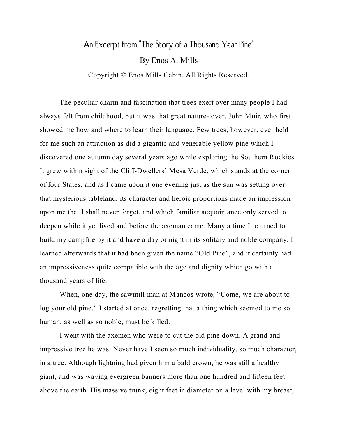## An Excerpt from "The Story of a Thousand Year Pine" By Enos A. Mills Copyright © Enos Mills Cabin. All Rights Reserved.

The peculiar charm and fascination that trees exert over many people I had always felt from childhood, but it was that great nature-lover, John Muir, who first showed me how and where to learn their language. Few trees, however, ever held for me such an attraction as did a gigantic and venerable yellow pine which I discovered one autumn day several years ago while exploring the Southern Rockies. It grew within sight of the Cliff-Dwellers' Mesa Verde, which stands at the corner of four States, and as I came upon it one evening just as the sun was setting over that mysterious tableland, its character and heroic proportions made an impression upon me that I shall never forget, and which familiar acquaintance only served to deepen while it yet lived and before the axeman came. Many a time I returned to build my campfire by it and have a day or night in its solitary and noble company. I learned afterwards that it had been given the name "Old Pine", and it certainly had an impressiveness quite compatible with the age and dignity which go with a thousand years of life.

When, one day, the sawmill-man at Mancos wrote, "Come, we are about to log your old pine." I started at once, regretting that a thing which seemed to me so human, as well as so noble, must be killed.

I went with the axemen who were to cut the old pine down. A grand and impressive tree he was. Never have I seen so much individuality, so much character, in a tree. Although lightning had given him a bald crown, he was still a healthy giant, and was waving evergreen banners more than one hundred and fifteen feet above the earth. His massive trunk, eight feet in diameter on a level with my breast,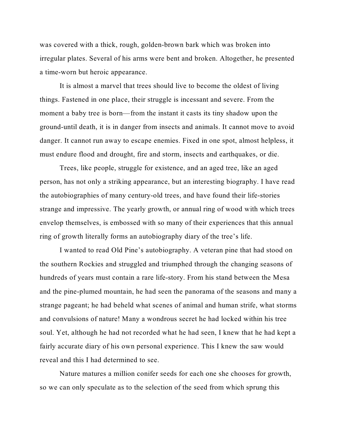was covered with a thick, rough, golden-brown bark which was broken into irregular plates. Several of his arms were bent and broken. Altogether, he presented a time-worn but heroic appearance.

It is almost a marvel that trees should live to become the oldest of living things. Fastened in one place, their struggle is incessant and severe. From the moment a baby tree is born—from the instant it casts its tiny shadow upon the ground-until death, it is in danger from insects and animals. It cannot move to avoid danger. It cannot run away to escape enemies. Fixed in one spot, almost helpless, it must endure flood and drought, fire and storm, insects and earthquakes, or die.

Trees, like people, struggle for existence, and an aged tree, like an aged person, has not only a striking appearance, but an interesting biography. I have read the autobiographies of many century-old trees, and have found their life-stories strange and impressive. The yearly growth, or annual ring of wood with which trees envelop themselves, is embossed with so many of their experiences that this annual ring of growth literally forms an autobiography diary of the tree's life.

I wanted to read Old Pine's autobiography. A veteran pine that had stood on the southern Rockies and struggled and triumphed through the changing seasons of hundreds of years must contain a rare life-story. From his stand between the Mesa and the pine-plumed mountain, he had seen the panorama of the seasons and many a strange pageant; he had beheld what scenes of animal and human strife, what storms and convulsions of nature! Many a wondrous secret he had locked within his tree soul. Yet, although he had not recorded what he had seen, I knew that he had kept a fairly accurate diary of his own personal experience. This I knew the saw would reveal and this I had determined to see.

Nature matures a million conifer seeds for each one she chooses for growth, so we can only speculate as to the selection of the seed from which sprung this